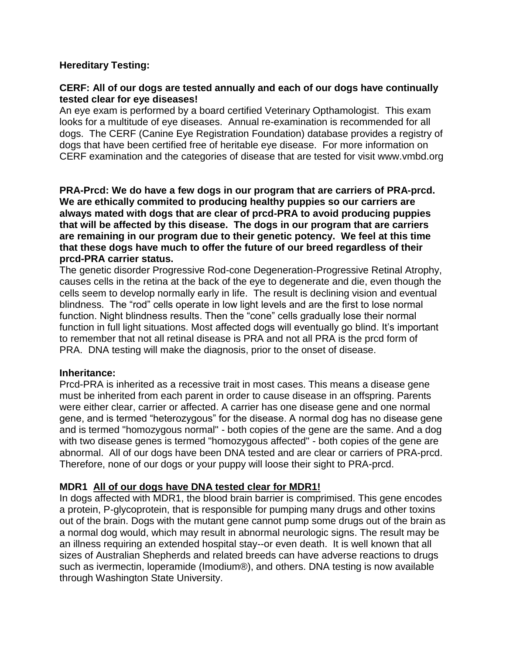## **Hereditary Testing:**

## **CERF: All of our dogs are tested annually and each of our dogs have continually tested clear for eye diseases!**

An eye exam is performed by a board certified Veterinary Opthamologist. This exam looks for a multitude of eye diseases. Annual re-examination is recommended for all dogs. The CERF (Canine Eye Registration Foundation) database provides a registry of dogs that have been certified free of heritable eye disease. For more information on CERF examination and the categories of disease that are tested for visit www.vmbd.org

**PRA-Prcd: We do have a few dogs in our program that are carriers of PRA-prcd. We are ethically commited to producing healthy puppies so our carriers are always mated with dogs that are clear of prcd-PRA to avoid producing puppies that will be affected by this disease. The dogs in our program that are carriers are remaining in our program due to their genetic potency. We feel at this time that these dogs have much to offer the future of our breed regardless of their prcd-PRA carrier status.**

The genetic disorder Progressive Rod-cone Degeneration-Progressive Retinal Atrophy, causes cells in the retina at the back of the eye to degenerate and die, even though the cells seem to develop normally early in life. The result is declining vision and eventual blindness. The "rod" cells operate in low light levels and are the first to lose normal function. Night blindness results. Then the "cone" cells gradually lose their normal function in full light situations. Most affected dogs will eventually go blind. It's important to remember that not all retinal disease is PRA and not all PRA is the prcd form of PRA. DNA testing will make the diagnosis, prior to the onset of disease.

## **Inheritance:**

Prcd-PRA is inherited as a recessive trait in most cases. This means a disease gene must be inherited from each parent in order to cause disease in an offspring. Parents were either clear, carrier or affected. A carrier has one disease gene and one normal gene, and is termed "heterozygous" for the disease. A normal dog has no disease gene and is termed "homozygous normal" - both copies of the gene are the same. And a dog with two disease genes is termed "homozygous affected" - both copies of the gene are abnormal. All of our dogs have been DNA tested and are clear or carriers of PRA-prcd. Therefore, none of our dogs or your puppy will loose their sight to PRA-prcd.

## **MDR1 All of our dogs have DNA tested clear for MDR1!**

In dogs affected with MDR1, the blood brain barrier is comprimised. This gene encodes a protein, P-glycoprotein, that is responsible for pumping many drugs and other toxins out of the brain. Dogs with the mutant gene cannot pump some drugs out of the brain as a normal dog would, which may result in abnormal neurologic signs. The result may be an illness requiring an extended hospital stay--or even death. It is well known that all sizes of Australian Shepherds and related breeds can have adverse reactions to drugs such as ivermectin, loperamide (Imodium®), and others. DNA testing is now available through Washington State University.